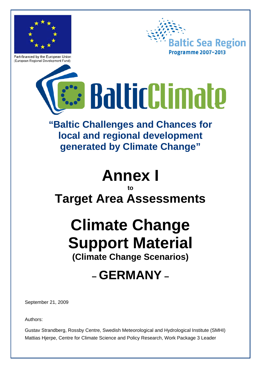

Part-financed by the European Union (European Regional Development Fund)



# **: BalticClimate**

## **"Baltic Challenges and Chances for local and regional development generated by Climate Change"**

# **Annex I**

### **to Target Area Assessments**

## **Climate Change Support Material (Climate Change Scenarios)**

## **– GERMANY –**

September 21, 2009

Authors:

Gustav Strandberg, Rossby Centre, Swedish Meteorological and Hydrological Institute (SMHI) Mattias Hjerpe, Centre for Climate Science and Policy Research, Work Package 3 Leader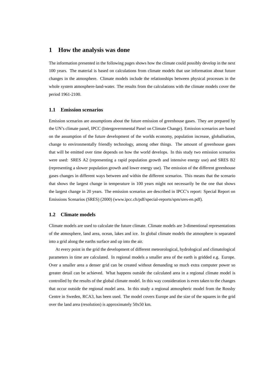#### **1 How the analysis was done**

The information presented in the following pages shows how the climate could possibly develop in the next 100 years. The material is based on calculations from climate models that use information about future changes in the atmosphere. Climate models include the relationships between physical processes in the whole system atmosphere-land-water. The results from the calculations with the climate models cover the period 1961-2100.

#### **1.1 Emission scenarios**

Emission scenarios are assumptions about the future emission of greenhouse gases. They are prepared by the UN's climate panel, IPCC (Intergovernmental Panel on Climate Change). Emission scenarios are based on the assumption of the future development of the worlds economy, population increase, globalisation, change to environmentally friendly technology, among other things. The amount of greenhouse gases that will be emitted over time depends on how the world develops. In this study two emission scenarios were used: SRES A2 (representing a rapid population growth and intensive energy use) and SRES B2 (representing a slower population growth and lower energy use). The emission of the different greenhouse gases changes in different ways between and within the different scenarios. This means that the scenario that shows the largest change in temperature in 100 years might not necessarily be the one that shows the largest change in 20 years. The emission scenarios are described in IPCC's report: Special Report on Emissions Scenarios (SRES) (2000) (www.ipcc.ch/pdf/special-reports/spm/sres-en.pdf).

#### **1.2 Climate models**

Climate models are used to calculate the future climate. Climate models are 3-dimentional representations of the atmosphere, land area, ocean, lakes and ice. In global climate models the atmosphere is separated into a grid along the earths surface and up into the air.

At every point in the grid the development of different meteorological, hydrological and climatological parameters in time are calculated. In regional models a smaller area of the earth is gridded e.g. Europe. Over a smaller area a denser grid can be created without demanding so much extra computer power so greater detail can be achieved. What happens outside the calculated area in a regional climate model is controlled by the results of the global climate model. In this way consideration is even taken to the changes that occur outside the regional model area. In this study a regional atmospheric model from the Rossby Centre in Sweden, RCA3, has been used. The model covers Europe and the size of the squares in the grid over the land area (resolution) is approximately 50x50 km.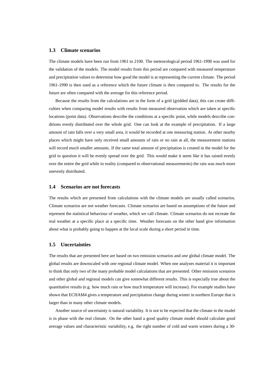#### **1.3 Climate scenarios**

The climate models have been run from 1961 to 2100. The meteorological period 1961-1990 was used for the validation of the models. The model results from this period are compared with measured temperature and precipitation values to determine how good the model is at representing the current climate. The period 1961-1990 is then used as a reference which the future climate is then compared to. The results for the future are often compared with the average for this reference period.

Because the results from the calculations are in the form of a grid (gridded data), this can create difficulties when comparing model results with results from measured observation which are taken at specific locations (point data). Observations describe the conditions at a specific point, while models describe conditions evenly distributed over the whole grid. One can look at the example of precipitation. If a large amount of rain falls over a very small area, it would be recorded at one measuring station. At other nearby places which might have only received small amounts of rain or no rain at all, the measurement stations will record much smaller amounts. If the same total amount of precipitation is created in the model for the grid in question it will be evenly spread over the grid. This would make it seem like it has rained evenly over the entire the grid while in reality (compared to observational measurements) the rain was much more unevenly distributed.

#### **1.4 Scenarios are not forecasts**

The results which are presented from calculations with the climate models are usually called scenarios. Climate scenarios are not weather forecasts. Climate scenarios are based on assumptions of the future and represent the statistical behaviour of weather, which we call climate. Climate scenarios do not recreate the real weather at a specific place at a specific time. Weather forecasts on the other hand give information about what is probably going to happen at the local scale during a short period in time.

#### **1.5 Uncertainties**

The results that are presented here are based on *two* emission scenarios and *one* global climate model. The global results are downscaled with *one* regional climate model. When one analyses material it is important to think that only two of the many probable model calculations that are presented. Other emission scenarios and other global and regional models can give somewhat different results. This is especially true about the quantitative results (e.g. how much rain or how much temperature will increase). For example studies have shown that ECHAM4 gives a temperature and precipitation change during winter in northern Europe that is larger than in many other climate models.

Another source of uncertainty is natural variability. It is not to be expected that the climate in the model is in phase with the real climate. On the other hand a good quality climate model should calculate good average values and characteristic variability, e.g. the right number of cold and warm winters during a 30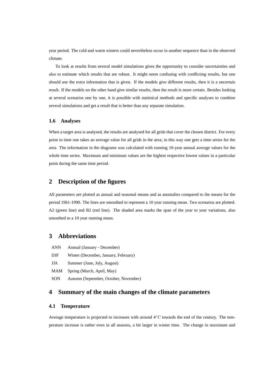year period. The cold and warm winters could nevertheless occur in another sequence than in the observed climate.

To look at results from several model simulations gives the opportunity to consider uncertainties and also to estimate which results that are robust. It might seem confusing with conflicting results, but one should use the extra information that is given. If the models give different results, then it is a uncertain result. If the models on the other hand give similar results, then the result is more certain. Besides looking at several scenarios one by one, it is possible with statistical methods and specific analyses to combine several simulations and get a result that is better than any separate simulation.

#### **1.6 Analyses**

When a target area is analysed, the results are analysed for all grids that cover the chosen district. For every point in time one takes an average value for all grids in the area; in this way one gets a time series for the area. The information in the diagrams was calculated with running 10-year annual average values for the whole time series. Maximum and minimum values are the highest respective lowest values in a particular point during the same time period.

#### **2 Description of the figures**

All parameters are plotted as annual and seasonal means and as anomalies compared to the means for the period 1961-1990. The lines are smoothed to represent a 10 year running mean. Two scenarios are plotted: A2 (green line) and B2 (red line). The shaded area marks the span of the year to year variations, also smoothed to a 10 year running mean.

#### **3 Abbreviations**

- ANN Annual (January December)
- DJF Winter (December, January, February)
- JJA Summer (June, July, August)
- MAM Spring (March, April, May)
- SON Autumn (September, October, November)

#### **4 Summary of the main changes of the climate parameters**

#### **4.1 Temperature**

Average temperature is projected to increases with around 4◦C towards the end of the century. The temperature increase is rather even in all seasons, a bit larger in winter time. The change in maximum and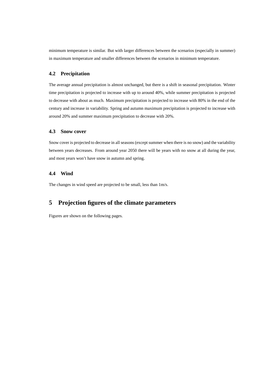minimum temperature is similar. But with larger differences between the scenarios (especially in summer) in maximum temperature and smaller differences between the scenarios in minimum temperature.

#### **4.2 Precipitation**

The average annual precipitation is almost unchanged, but there is a shift in seasonal precipitation. Winter time precipitation is projected to increase with up to around 40%, while summer precipitation is projected to decrease with about as much. Maximum precipitation is projected to increase with 80% in the end of the century and increase in variability. Spring and autumn maximum precipitation is projected to increase with around 20% and summer maximum precipitation to decrease with 20%.

#### **4.3 Snow cover**

Snow cover is projected to decrease in all seasons (except summer when there is no snow) and the variability between years decreases. From around year 2050 there will be years with no snow at all during the year, and most years won't have snow in autumn and spring.

#### **4.4 Wind**

The changes in wind speed are projected to be small, less than 1m/s.

#### **5 Projection figures of the climate parameters**

Figures are shown on the following pages.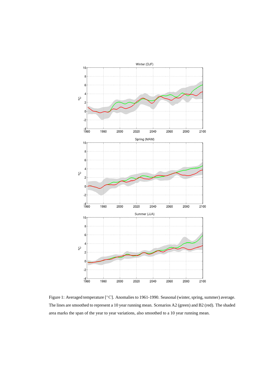

Figure 1: Averaged temperature [◦C]. Anomalies to 1961-1990. Seasonal (winter, spring, summer) average. The lines are smoothed to represent a 10 year running mean. Scenarios A2 (green) and B2 (red). The shaded area marks the span of the year to year variations, also smoothed to a 10 year running mean.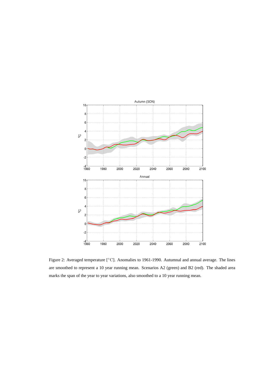

Figure 2: Averaged temperature [◦C]. Anomalies to 1961-1990. Autumnal and annual average. The lines are smoothed to represent a 10 year running mean. Scenarios A2 (green) and B2 (red). The shaded area marks the span of the year to year variations, also smoothed to a 10 year running mean.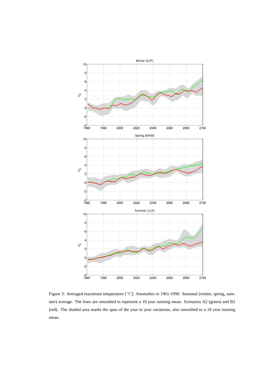

Figure 3: Averaged maximum temperature [◦C]. Anomalies to 1961-1990. Seasonal (winter, spring, summer) average. The lines are smoothed to represent a 10 year running mean. Scenarios A2 (green) and B2 (red). The shaded area marks the span of the year to year variations, also smoothed to a 10 year running mean.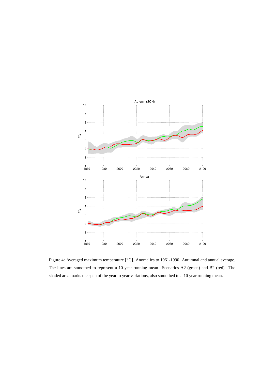

Figure 4: Averaged maximum temperature [◦C]. Anomalies to 1961-1990. Autumnal and annual average. The lines are smoothed to represent a 10 year running mean. Scenarios A2 (green) and B2 (red). The shaded area marks the span of the year to year variations, also smoothed to a 10 year running mean.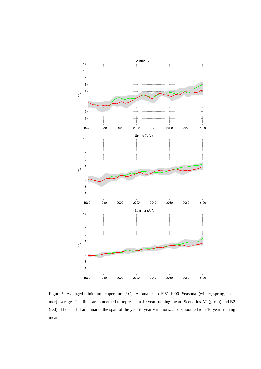

Figure 5: Averaged minimum temperature [◦C]. Anomalies to 1961-1990. Seasonal (winter, spring, summer) average. The lines are smoothed to represent a 10 year running mean. Scenarios A2 (green) and B2 (red). The shaded area marks the span of the year to year variations, also smoothed to a 10 year running mean.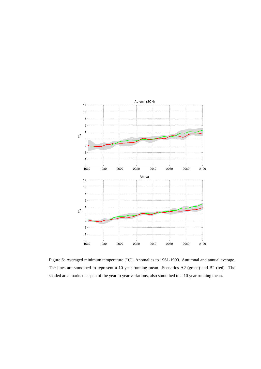

Figure 6: Averaged minimum temperature [◦C]. Anomalies to 1961-1990. Autumnal and annual average. The lines are smoothed to represent a 10 year running mean. Scenarios A2 (green) and B2 (red). The shaded area marks the span of the year to year variations, also smoothed to a 10 year running mean.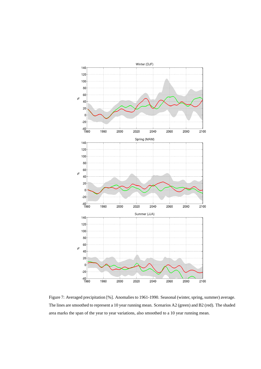

Figure 7: Averaged precipitation [%]. Anomalies to 1961-1990. Seasonal (winter, spring, summer) average. The lines are smoothed to represent a 10 year running mean. Scenarios A2 (green) and B2 (red). The shaded area marks the span of the year to year variations, also smoothed to a 10 year running mean.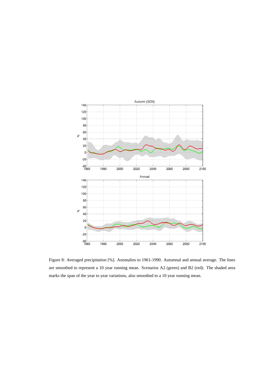

Figure 8: Averaged precipitation [%]. Anomalies to 1961-1990. Autumnal and annual average. The lines are smoothed to represent a 10 year running mean. Scenarios A2 (green) and B2 (red). The shaded area marks the span of the year to year variations, also smoothed to a 10 year running mean.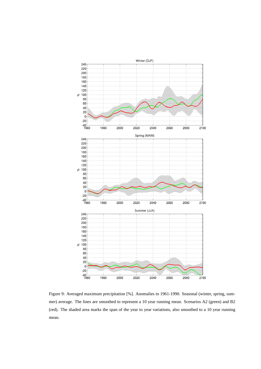

Figure 9: Averaged maximum precipitation [%]. Anomalies to 1961-1990. Seasonal (winter, spring, summer) average. The lines are smoothed to represent a 10 year running mean. Scenarios A2 (green) and B2 (red). The shaded area marks the span of the year to year variations, also smoothed to a 10 year running mean.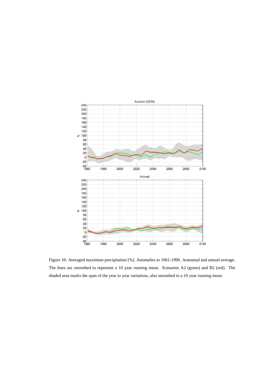

Figure 10: Averaged maximum precipitation [%]. Anomalies to 1961-1990. Autumnal and annual average. The lines are smoothed to represent a 10 year running mean. Scenarios A2 (green) and B2 (red). The shaded area marks the span of the year to year variations, also smoothed to a 10 year running mean.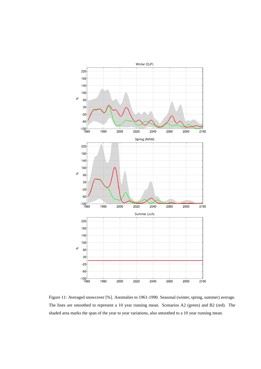

Figure 11: Averaged snowcover [%]. Anomalies to 1961-1990. Seasonal (winter, spring, summer) average. The lines are smoothed to represent a 10 year running mean. Scenarios A2 (green) and B2 (red). The shaded area marks the span of the year to year variations, also smoothed to a 10 year running mean.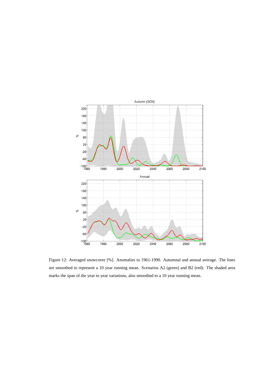

Figure 12: Averaged snowcover [%]. Anomalies to 1961-1990. Autumnal and annual average. The lines are smoothed to represent a 10 year running mean. Scenarios A2 (green) and B2 (red). The shaded area marks the span of the year to year variations, also smoothed to a 10 year running mean.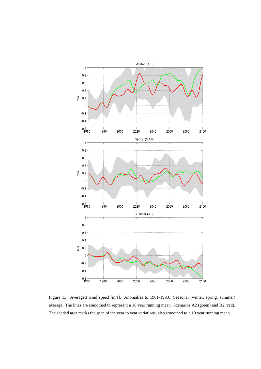

Figure 13: Averaged wind speed [m/s]. Anomalies to 1961-1990. Seasonal (winter, spring, summer) average. The lines are smoothed to represent a 10 year running mean. Scenarios A2 (green) and B2 (red). The shaded area marks the span of the year to year variations, also smoothed to a 10 year running mean.